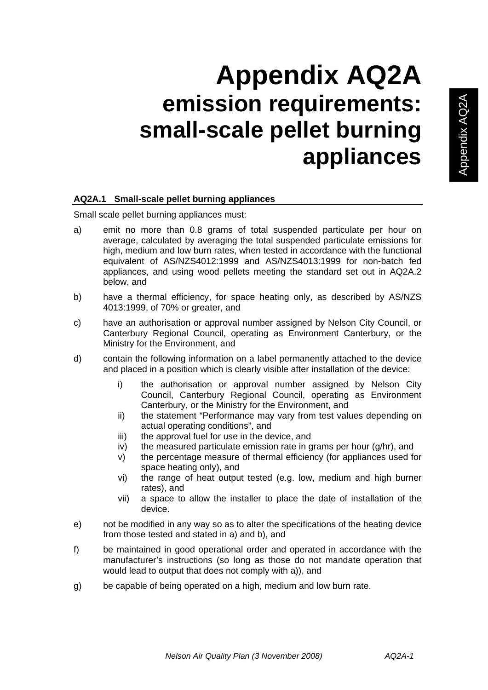# **Appendix AQ2A emission requirements: small-scale pellet burning appliances**

## **AQ2A.1 Small-scale pellet burning appliances**

Small scale pellet burning appliances must:

- a) emit no more than 0.8 grams of total suspended particulate per hour on average, calculated by averaging the total suspended particulate emissions for high, medium and low burn rates, when tested in accordance with the functional equivalent of AS/NZS4012:1999 and AS/NZS4013:1999 for non-batch fed appliances, and using wood pellets meeting the standard set out in AQ2A.2 below, and
- b) have a thermal efficiency, for space heating only, as described by AS/NZS 4013:1999, of 70% or greater, and
- c) have an authorisation or approval number assigned by Nelson City Council, or Canterbury Regional Council, operating as Environment Canterbury, or the Ministry for the Environment, and
- d) contain the following information on a label permanently attached to the device and placed in a position which is clearly visible after installation of the device:
	- i) the authorisation or approval number assigned by Nelson City Council, Canterbury Regional Council, operating as Environment Canterbury, or the Ministry for the Environment, and
	- ii) the statement "Performance may vary from test values depending on actual operating conditions", and
	- iii) the approval fuel for use in the device, and
	- iv) the measured particulate emission rate in grams per hour (g/hr), and
	- v) the percentage measure of thermal efficiency (for appliances used for space heating only), and
	- vi) the range of heat output tested (e.g. low, medium and high burner rates), and
	- vii) a space to allow the installer to place the date of installation of the device.
- e) not be modified in any way so as to alter the specifications of the heating device from those tested and stated in a) and b), and
- f) be maintained in good operational order and operated in accordance with the manufacturer's instructions (so long as those do not mandate operation that would lead to output that does not comply with a)), and
- g) be capable of being operated on a high, medium and low burn rate.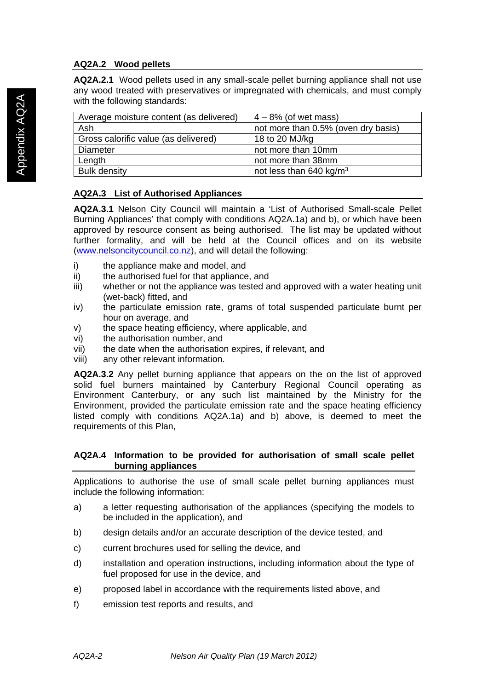# **AQ2A.2 Wood pellets**

**AQ2A.2.1** Wood pellets used in any small-scale pellet burning appliance shall not use any wood treated with preservatives or impregnated with chemicals, and must comply with the following standards:

| Average moisture content (as delivered) | $4 - 8\%$ (of wet mass)             |
|-----------------------------------------|-------------------------------------|
| Ash                                     | not more than 0.5% (oven dry basis) |
| Gross calorific value (as delivered)    | 18 to 20 MJ/kg                      |
| Diameter                                | not more than 10mm                  |
| Length                                  | not more than 38mm                  |
| <b>Bulk density</b>                     | not less than 640 $kg/m3$           |

## **AQ2A.3 List of Authorised Appliances**

**AQ2A.3.1** Nelson City Council will maintain a 'List of Authorised Small-scale Pellet Burning Appliances' that comply with conditions AQ2A.1a) and b), or which have been approved by resource consent as being authorised. The list may be updated without further formality, and will be held at the Council offices and on its website (www.nelsoncitycouncil.co.nz), and will detail the following:

- i) the appliance make and model, and
- ii) the authorised fuel for that appliance, and
- iii) whether or not the appliance was tested and approved with a water heating unit (wet-back) fitted, and
- iv) the particulate emission rate, grams of total suspended particulate burnt per hour on average, and
- v) the space heating efficiency, where applicable, and
- vi) the authorisation number, and
- vii) the date when the authorisation expires, if relevant, and
- viii) any other relevant information.

**AQ2A.3.2** Any pellet burning appliance that appears on the on the list of approved solid fuel burners maintained by Canterbury Regional Council operating as Environment Canterbury, or any such list maintained by the Ministry for the Environment, provided the particulate emission rate and the space heating efficiency listed comply with conditions AQ2A.1a) and b) above, is deemed to meet the requirements of this Plan,

#### **AQ2A.4 Information to be provided for authorisation of small scale pellet burning appliances**

Applications to authorise the use of small scale pellet burning appliances must include the following information:

- a) a letter requesting authorisation of the appliances (specifying the models to be included in the application), and
- b) design details and/or an accurate description of the device tested, and
- c) current brochures used for selling the device, and
- d) installation and operation instructions, including information about the type of fuel proposed for use in the device, and
- e) proposed label in accordance with the requirements listed above, and
- f) emission test reports and results, and